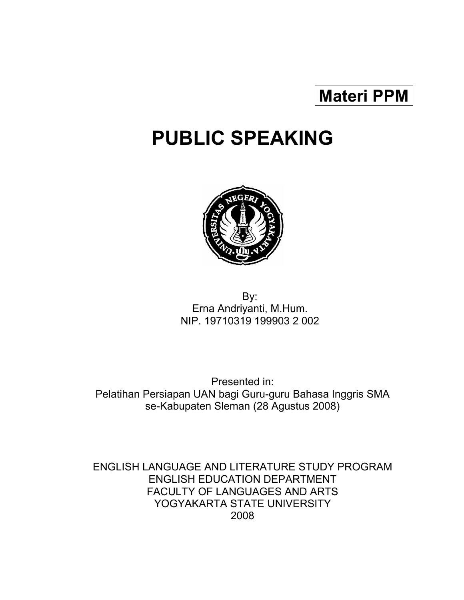# Materi PPM

# PUBLIC SPEAKING



 By: Erna Andriyanti, M.Hum. NIP. 19710319 199903 2 002

Presented in: Pelatihan Persiapan UAN bagi Guru-guru Bahasa Inggris SMA se-Kabupaten Sleman (28 Agustus 2008)

ENGLISH LANGUAGE AND LITERATURE STUDY PROGRAM ENGLISH EDUCATION DEPARTMENT FACULTY OF LANGUAGES AND ARTS YOGYAKARTA STATE UNIVERSITY 2008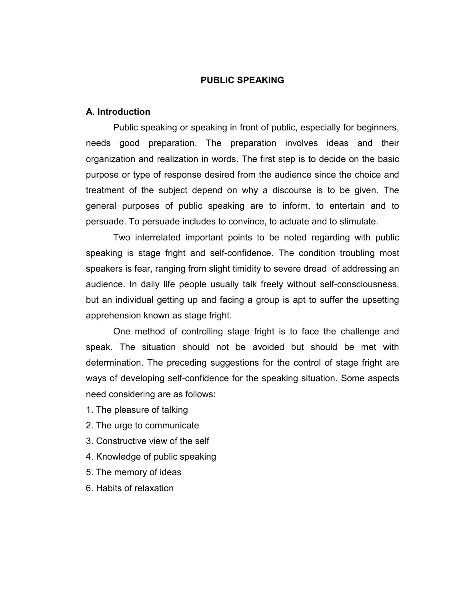#### PUBLIC SPEAKING

#### A. Introduction

 Public speaking or speaking in front of public, especially for beginners, needs good preparation. The preparation involves ideas and their organization and realization in words. The first step is to decide on the basic purpose or type of response desired from the audience since the choice and treatment of the subject depend on why a discourse is to be given. The general purposes of public speaking are to inform, to entertain and to persuade. To persuade includes to convince, to actuate and to stimulate.

 Two interrelated important points to be noted regarding with public speaking is stage fright and self-confidence. The condition troubling most speakers is fear, ranging from slight timidity to severe dread of addressing an audience. In daily life people usually talk freely without self-consciousness, but an individual getting up and facing a group is apt to suffer the upsetting apprehension known as stage fright.

 One method of controlling stage fright is to face the challenge and speak. The situation should not be avoided but should be met with determination. The preceding suggestions for the control of stage fright are ways of developing self-confidence for the speaking situation. Some aspects need considering are as follows:

- 1. The pleasure of talking
- 2. The urge to communicate
- 3. Constructive view of the self
- 4. Knowledge of public speaking
- 5. The memory of ideas
- 6. Habits of relaxation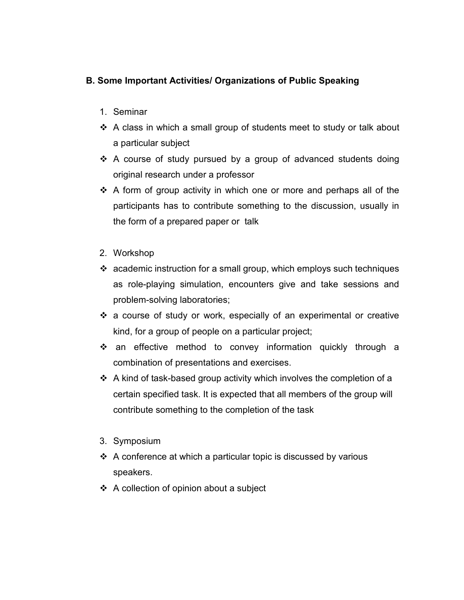# B. Some Important Activities/ Organizations of Public Speaking

- 1. Seminar
- A class in which a small group of students meet to study or talk about a particular subject
- \* A course of study pursued by a group of advanced students doing original research under a professor
- $\div$  A form of group activity in which one or more and perhaps all of the participants has to contribute something to the discussion, usually in the form of a prepared paper or talk
- 2. Workshop
- $\cdot$  academic instruction for a small group, which employs such techniques as role-playing simulation, encounters give and take sessions and problem-solving laboratories;
- a course of study or work, especially of an experimental or creative kind, for a group of people on a particular project;
- an effective method to convey information quickly through a combination of presentations and exercises.
- $\div$  A kind of task-based group activity which involves the completion of a certain specified task. It is expected that all members of the group will contribute something to the completion of the task
- 3. Symposium
- $\triangle$  A conference at which a particular topic is discussed by various speakers.
- $\div$  A collection of opinion about a subject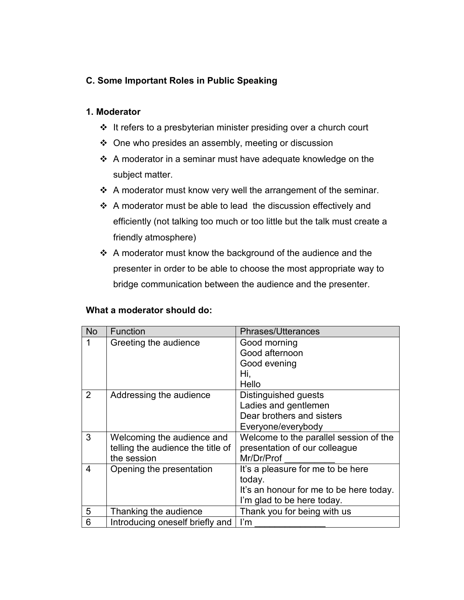# C. Some Important Roles in Public Speaking

#### 1. Moderator

- It refers to a presbyterian minister presiding over a church court
- $\div$  One who presides an assembly, meeting or discussion
- $\div$  A moderator in a seminar must have adequate knowledge on the subject matter.
- $\div$  A moderator must know very well the arrangement of the seminar.
- A moderator must be able to lead the discussion effectively and efficiently (not talking too much or too little but the talk must create a friendly atmosphere)
- ❖ A moderator must know the background of the audience and the presenter in order to be able to choose the most appropriate way to bridge communication between the audience and the presenter.

#### What a moderator should do:

| <b>No</b>      | Function                          | <b>Phrases/Utterances</b>               |
|----------------|-----------------------------------|-----------------------------------------|
| 1              | Greeting the audience             | Good morning                            |
|                |                                   | Good afternoon                          |
|                |                                   | Good evening                            |
|                |                                   | Hi,                                     |
|                |                                   | Hello                                   |
| $\overline{2}$ | Addressing the audience           | Distinguished guests                    |
|                |                                   | Ladies and gentlemen                    |
|                |                                   | Dear brothers and sisters               |
|                |                                   | Everyone/everybody                      |
| 3              | Welcoming the audience and        | Welcome to the parallel session of the  |
|                | telling the audience the title of | presentation of our colleague           |
|                | the session                       | Mr/Dr/Prof                              |
| 4              | Opening the presentation          | It's a pleasure for me to be here       |
|                |                                   | today.                                  |
|                |                                   | It's an honour for me to be here today. |
|                |                                   | I'm glad to be here today.              |
| 5              | Thanking the audience             | Thank you for being with us             |
| 6              | Introducing oneself briefly and   | $\mathsf{I}'\mathsf{m}$                 |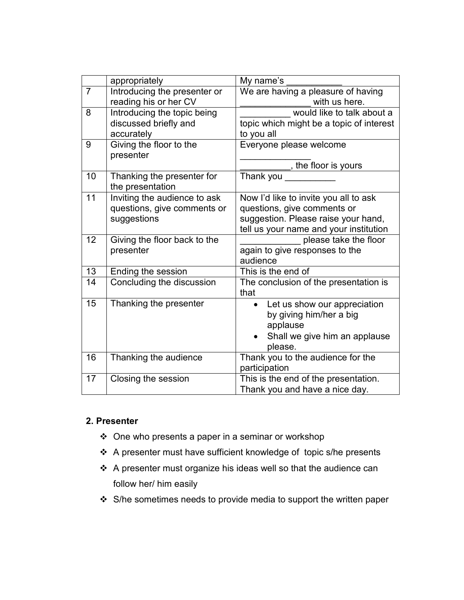|                | appropriately                | My name's                                     |
|----------------|------------------------------|-----------------------------------------------|
| $\overline{7}$ | Introducing the presenter or | We are having a pleasure of having            |
|                | reading his or her CV        | with us here.                                 |
| 8              | Introducing the topic being  | would like to talk about a                    |
|                | discussed briefly and        | topic which might be a topic of interest      |
|                | accurately                   | to you all                                    |
| 9              | Giving the floor to the      | Everyone please welcome                       |
|                | presenter                    |                                               |
|                |                              | _, the floor is yours                         |
| 10             | Thanking the presenter for   | Thank you                                     |
|                | the presentation             |                                               |
| 11             | Inviting the audience to ask | Now I'd like to invite you all to ask         |
|                | questions, give comments or  | questions, give comments or                   |
|                | suggestions                  | suggestion. Please raise your hand,           |
|                |                              | tell us your name and your institution        |
| 12             | Giving the floor back to the | please take the floor                         |
|                | presenter                    | again to give responses to the                |
|                |                              | audience                                      |
| 13             | Ending the session           | This is the end of                            |
| 14             | Concluding the discussion    | The conclusion of the presentation is<br>that |
| 15             | Thanking the presenter       | Let us show our appreciation<br>$\bullet$     |
|                |                              | by giving him/her a big                       |
|                |                              | applause                                      |
|                |                              | Shall we give him an applause                 |
|                |                              | please.                                       |
| 16             | Thanking the audience        | Thank you to the audience for the             |
|                |                              | participation                                 |
| 17             | Closing the session          | This is the end of the presentation.          |
|                |                              | Thank you and have a nice day.                |

## 2. Presenter

- $\div$  One who presents a paper in a seminar or workshop
- A presenter must have sufficient knowledge of topic s/he presents
- A presenter must organize his ideas well so that the audience can follow her/ him easily
- ❖ S/he sometimes needs to provide media to support the written paper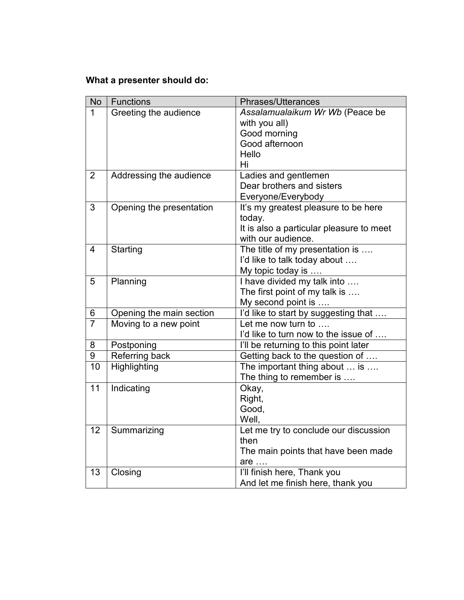# What a presenter should do:

| <b>No</b>      | <b>Functions</b>         | Phrases/Utterances                                         |
|----------------|--------------------------|------------------------------------------------------------|
| 1              | Greeting the audience    | Assalamualaikum Wr Wb (Peace be                            |
|                |                          | with you all)                                              |
|                |                          | Good morning                                               |
|                |                          | Good afternoon                                             |
|                |                          | Hello                                                      |
|                |                          | Hi                                                         |
| $\overline{2}$ | Addressing the audience  | Ladies and gentlemen                                       |
|                |                          | Dear brothers and sisters                                  |
|                |                          | Everyone/Everybody                                         |
| 3              | Opening the presentation | It's my greatest pleasure to be here                       |
|                |                          | today.                                                     |
|                |                          | It is also a particular pleasure to meet                   |
|                |                          | with our audience.                                         |
| $\overline{4}$ | Starting                 | The title of my presentation is                            |
|                |                          | I'd like to talk today about                               |
|                |                          | My topic today is                                          |
| 5              | Planning                 | I have divided my talk into                                |
|                |                          | The first point of my talk is                              |
| 6              | Opening the main section | My second point is<br>I'd like to start by suggesting that |
| $\overline{7}$ | Moving to a new point    | Let me now turn to                                         |
|                |                          | I'd like to turn now to the issue of                       |
| 8              | Postponing               | I'll be returning to this point later                      |
| 9              | Referring back           | Getting back to the question of                            |
| 10             | Highlighting             | The important thing about  is                              |
|                |                          | The thing to remember is                                   |
| 11             | Indicating               | Okay,                                                      |
|                |                          | Right,                                                     |
|                |                          | Good,                                                      |
|                |                          | Well,                                                      |
| 12             | Summarizing              | Let me try to conclude our discussion                      |
|                |                          | then                                                       |
|                |                          | The main points that have been made                        |
|                |                          | are                                                        |
| 13             | Closing                  | I'll finish here, Thank you                                |
|                |                          | And let me finish here, thank you                          |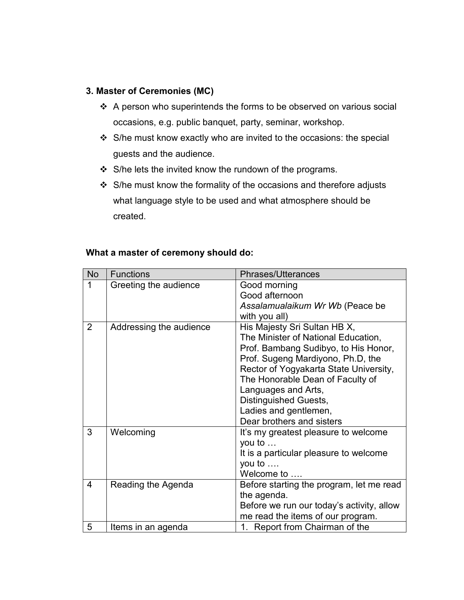## 3. Master of Ceremonies (MC)

- A person who superintends the forms to be observed on various social occasions, e.g. public banquet, party, seminar, workshop.
- S/he must know exactly who are invited to the occasions: the special guests and the audience.
- ❖ S/he lets the invited know the rundown of the programs.
- ❖ S/he must know the formality of the occasions and therefore adjusts what language style to be used and what atmosphere should be created.

#### What a master of ceremony should do:

| <b>No</b>      | <b>Functions</b>        | <b>Phrases/Utterances</b>                 |
|----------------|-------------------------|-------------------------------------------|
| 1              | Greeting the audience   | Good morning                              |
|                |                         | Good afternoon                            |
|                |                         | Assalamualaikum Wr Wb (Peace be           |
|                |                         | with you all)                             |
| $\overline{2}$ | Addressing the audience | His Majesty Sri Sultan HB X,              |
|                |                         | The Minister of National Education,       |
|                |                         | Prof. Bambang Sudibyo, to His Honor,      |
|                |                         | Prof. Sugeng Mardiyono, Ph.D, the         |
|                |                         | Rector of Yogyakarta State University,    |
|                |                         | The Honorable Dean of Faculty of          |
|                |                         | Languages and Arts,                       |
|                |                         | Distinguished Guests,                     |
|                |                         | Ladies and gentlemen,                     |
|                |                         | Dear brothers and sisters                 |
| 3              | Welcoming               | It's my greatest pleasure to welcome      |
|                |                         | you to $\dots$                            |
|                |                         | It is a particular pleasure to welcome    |
|                |                         | you to $\dots$                            |
|                |                         | Welcome to                                |
| 4              | Reading the Agenda      | Before starting the program, let me read  |
|                |                         | the agenda.                               |
|                |                         | Before we run our today's activity, allow |
|                |                         | me read the items of our program.         |
| 5              | Items in an agenda      | 1. Report from Chairman of the            |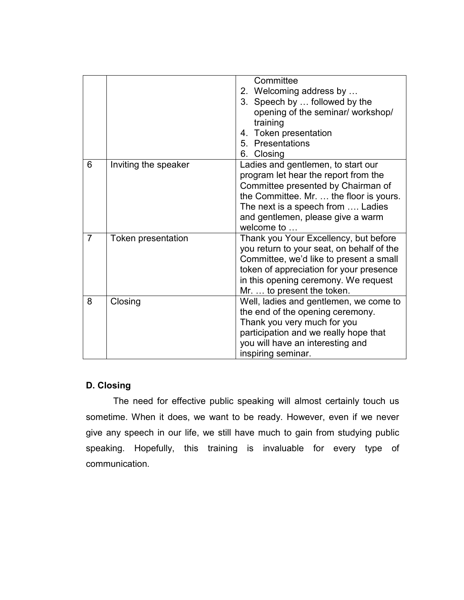|                |                           | Committee<br>2. Welcoming address by<br>3. Speech by  followed by the<br>opening of the seminar/ workshop/<br>training<br>4. Token presentation<br>5. Presentations<br>6. Closing                                                                   |
|----------------|---------------------------|-----------------------------------------------------------------------------------------------------------------------------------------------------------------------------------------------------------------------------------------------------|
| 6              | Inviting the speaker      | Ladies and gentlemen, to start our<br>program let hear the report from the<br>Committee presented by Chairman of<br>the Committee. Mr.  the floor is yours.<br>The next is a speech from  Ladies<br>and gentlemen, please give a warm<br>welcome to |
| $\overline{7}$ | <b>Token presentation</b> | Thank you Your Excellency, but before<br>you return to your seat, on behalf of the<br>Committee, we'd like to present a small<br>token of appreciation for your presence<br>in this opening ceremony. We request<br>Mr.  to present the token.      |
| 8              | Closing                   | Well, ladies and gentlemen, we come to<br>the end of the opening ceremony.<br>Thank you very much for you<br>participation and we really hope that<br>you will have an interesting and<br>inspiring seminar.                                        |

# D. Closing

 The need for effective public speaking will almost certainly touch us sometime. When it does, we want to be ready. However, even if we never give any speech in our life, we still have much to gain from studying public speaking. Hopefully, this training is invaluable for every type of communication.